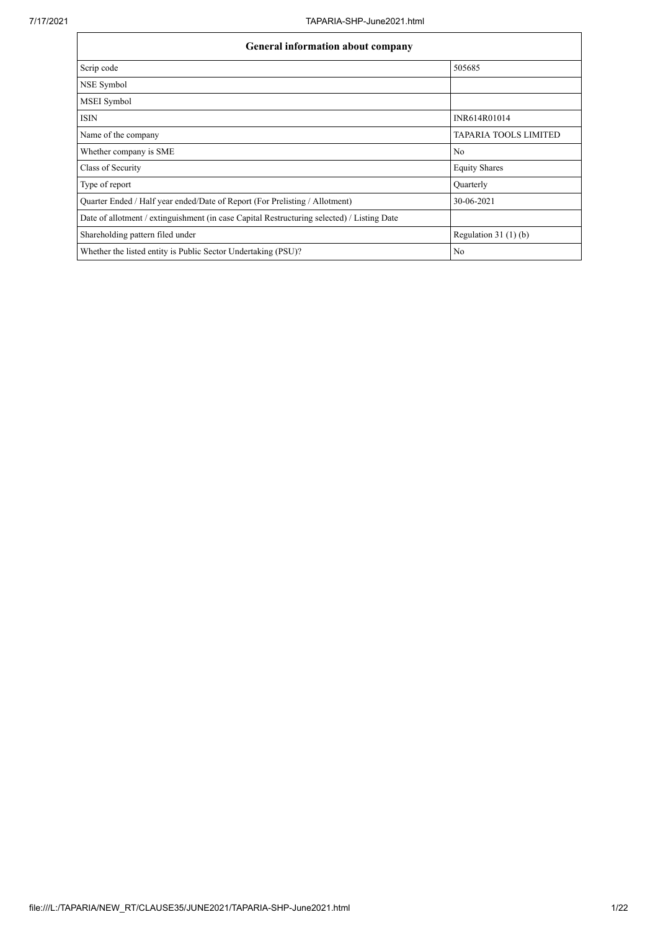| <b>General information about company</b>                                                   |                              |  |  |  |  |  |  |
|--------------------------------------------------------------------------------------------|------------------------------|--|--|--|--|--|--|
| Scrip code                                                                                 | 505685                       |  |  |  |  |  |  |
| NSE Symbol                                                                                 |                              |  |  |  |  |  |  |
| MSEI Symbol                                                                                |                              |  |  |  |  |  |  |
| <b>ISIN</b>                                                                                | INR614R01014                 |  |  |  |  |  |  |
| Name of the company                                                                        | <b>TAPARIA TOOLS LIMITED</b> |  |  |  |  |  |  |
| Whether company is SME                                                                     | No                           |  |  |  |  |  |  |
| Class of Security                                                                          | <b>Equity Shares</b>         |  |  |  |  |  |  |
| Type of report                                                                             | Quarterly                    |  |  |  |  |  |  |
| Quarter Ended / Half year ended/Date of Report (For Prelisting / Allotment)                | 30-06-2021                   |  |  |  |  |  |  |
| Date of allotment / extinguishment (in case Capital Restructuring selected) / Listing Date |                              |  |  |  |  |  |  |
| Shareholding pattern filed under                                                           | Regulation $31(1)(b)$        |  |  |  |  |  |  |
| Whether the listed entity is Public Sector Undertaking (PSU)?                              | No                           |  |  |  |  |  |  |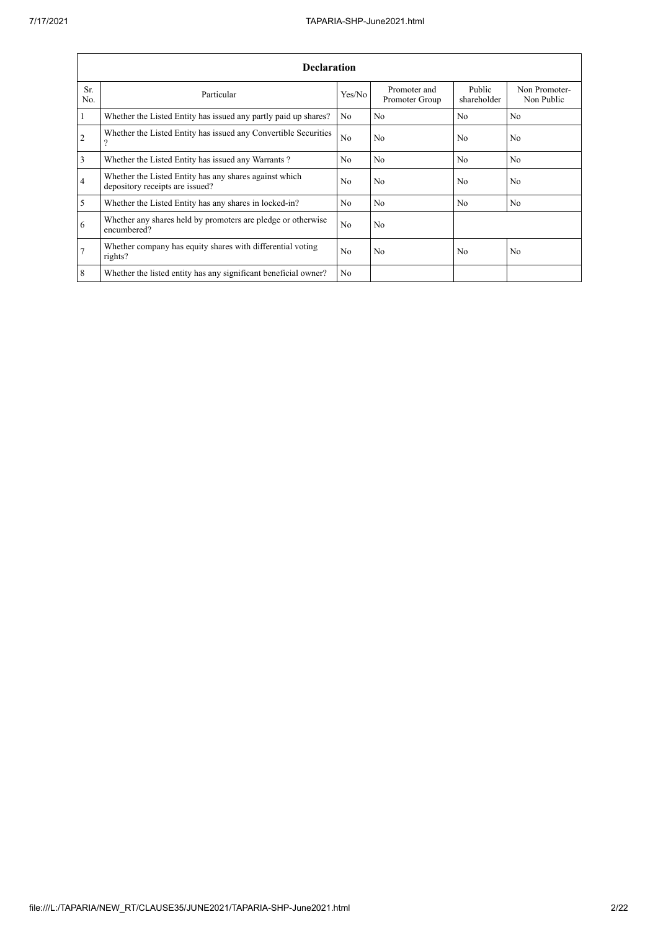$\mathbf{r}$ 

|                | <b>Declaration</b>                                                                          |                |                                |                       |                             |  |  |  |  |  |  |  |
|----------------|---------------------------------------------------------------------------------------------|----------------|--------------------------------|-----------------------|-----------------------------|--|--|--|--|--|--|--|
| Sr.<br>No.     | Particular                                                                                  | Yes/No         | Promoter and<br>Promoter Group | Public<br>shareholder | Non Promoter-<br>Non Public |  |  |  |  |  |  |  |
| $\vert$ 1      | Whether the Listed Entity has issued any partly paid up shares?                             | No             | No                             | N <sub>o</sub>        | N <sub>0</sub>              |  |  |  |  |  |  |  |
| $\overline{2}$ | Whether the Listed Entity has issued any Convertible Securities<br>$\overline{\mathcal{L}}$ | N <sub>o</sub> | No                             | No                    | N <sub>o</sub>              |  |  |  |  |  |  |  |
| $\overline{3}$ | Whether the Listed Entity has issued any Warrants?                                          | N <sub>0</sub> | No                             | N <sub>o</sub>        | N <sub>0</sub>              |  |  |  |  |  |  |  |
| $\overline{4}$ | Whether the Listed Entity has any shares against which<br>depository receipts are issued?   | N <sub>o</sub> | No                             | No                    | No                          |  |  |  |  |  |  |  |
| $\overline{5}$ | Whether the Listed Entity has any shares in locked-in?                                      | N <sub>0</sub> | N <sub>0</sub>                 | No                    | N <sub>0</sub>              |  |  |  |  |  |  |  |
| 6              | Whether any shares held by promoters are pledge or otherwise<br>encumbered?                 | N <sub>o</sub> | No                             |                       |                             |  |  |  |  |  |  |  |
| $\overline{7}$ | Whether company has equity shares with differential voting<br>rights?                       | N <sub>o</sub> | No                             | No                    | N <sub>o</sub>              |  |  |  |  |  |  |  |
| $\sqrt{8}$     | Whether the listed entity has any significant beneficial owner?                             | N <sub>0</sub> |                                |                       |                             |  |  |  |  |  |  |  |

 $\overline{\phantom{0}}$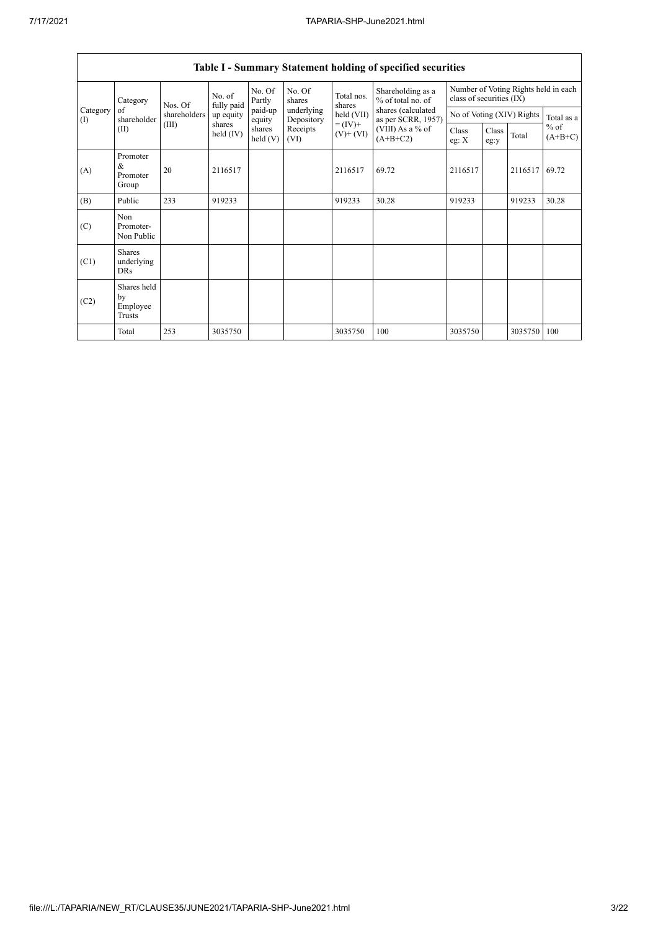$\overline{\phantom{a}}$ 

|                 |                                           |              |                      |                   |                          |                              | Table I - Summary Statement holding of specified securities |                                                                  |               |                           |                     |
|-----------------|-------------------------------------------|--------------|----------------------|-------------------|--------------------------|------------------------------|-------------------------------------------------------------|------------------------------------------------------------------|---------------|---------------------------|---------------------|
|                 | Category                                  | Nos. Of      | No. of<br>fully paid | No. Of<br>Partly  | No. Of<br>shares         | Total nos.<br>shares         | Shareholding as a<br>$%$ of total no. of                    | Number of Voting Rights held in each<br>class of securities (IX) |               |                           |                     |
| Category<br>(1) | of<br>shareholder                         | shareholders | up equity            | paid-up<br>equity | underlying<br>Depository | held (VII)                   | shares (calculated<br>as per SCRR, 1957)                    |                                                                  |               | No of Voting (XIV) Rights | Total as a          |
|                 | (II)                                      | (III)        | shares<br>held (IV)  | shares<br>held(V) | Receipts<br>(VI)         | $= (IV) +$<br>$(V)$ + $(VI)$ | (VIII) As a % of<br>$(A+B+C2)$                              | Class<br>eg: X                                                   | Class<br>eg:y | Total                     | $%$ of<br>$(A+B+C)$ |
| (A)             | Promoter<br>&<br>Promoter<br>Group        | 20           | 2116517              |                   |                          | 2116517                      | 69.72                                                       | 2116517                                                          |               | 2116517                   | 69.72               |
| (B)             | Public                                    | 233          | 919233               |                   |                          | 919233                       | 30.28                                                       | 919233                                                           |               | 919233                    | 30.28               |
| (C)             | Non<br>Promoter-<br>Non Public            |              |                      |                   |                          |                              |                                                             |                                                                  |               |                           |                     |
| (C1)            | <b>Shares</b><br>underlying<br><b>DRs</b> |              |                      |                   |                          |                              |                                                             |                                                                  |               |                           |                     |
| (C2)            | Shares held<br>by<br>Employee<br>Trusts   |              |                      |                   |                          |                              |                                                             |                                                                  |               |                           |                     |
|                 | Total                                     | 253          | 3035750              |                   |                          | 3035750                      | 100                                                         | 3035750                                                          |               | 3035750                   | 100                 |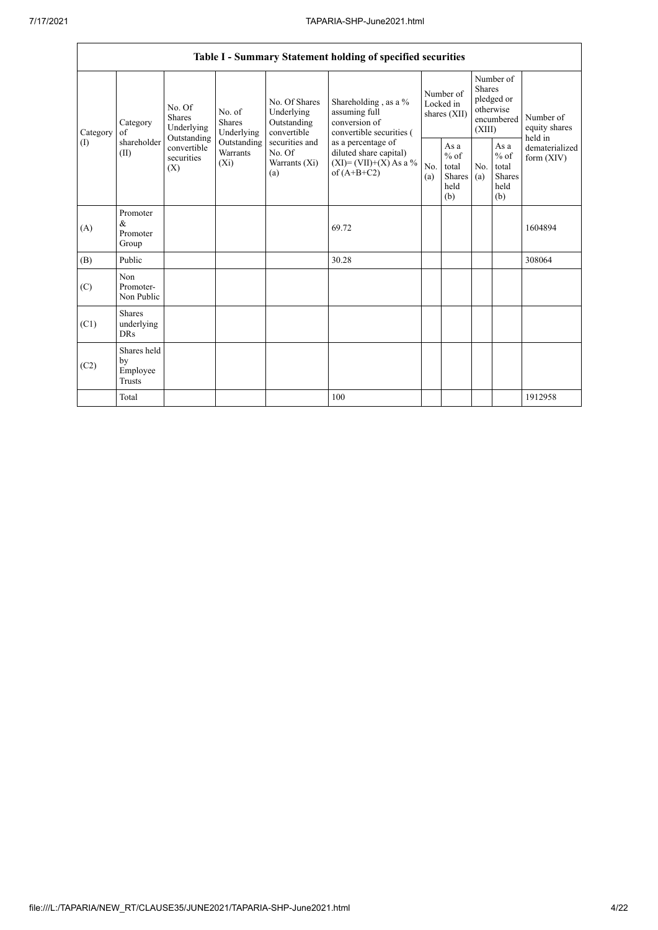|                 |                                         |                                                                                                                  |                                |                                                                                                               | Table I - Summary Statement holding of specified securities                                |                                        |                                                  |                                                                               |                                                         |                                       |  |
|-----------------|-----------------------------------------|------------------------------------------------------------------------------------------------------------------|--------------------------------|---------------------------------------------------------------------------------------------------------------|--------------------------------------------------------------------------------------------|----------------------------------------|--------------------------------------------------|-------------------------------------------------------------------------------|---------------------------------------------------------|---------------------------------------|--|
| Category<br>(I) | Category<br>of<br>shareholder<br>(II)   | No. Of<br>No. of<br>Shares<br>Shares<br>Underlying<br>Outstanding<br>convertible<br>securities<br>$(X_i)$<br>(X) | Underlying                     | No. Of Shares<br>Underlying<br>Outstanding<br>convertible<br>securities and<br>No. Of<br>Warrants (Xi)<br>(a) | Shareholding, as a %<br>assuming full<br>conversion of<br>convertible securities (         | Number of<br>Locked in<br>shares (XII) |                                                  | Number of<br><b>Shares</b><br>pledged or<br>otherwise<br>encumbered<br>(XIII) |                                                         | Number of<br>equity shares<br>held in |  |
|                 |                                         |                                                                                                                  | Outstanding<br><b>Warrants</b> |                                                                                                               | as a percentage of<br>diluted share capital)<br>$(XI) = (VII)+(X) As a %$<br>of $(A+B+C2)$ | No.<br>(a)                             | As a<br>$%$ of<br>total<br>Shares<br>held<br>(b) | N <sub>0</sub><br>(a)                                                         | As a<br>$%$ of<br>total<br><b>Shares</b><br>held<br>(b) | dematerialized<br>form $(XIV)$        |  |
| (A)             | Promoter<br>$\&$<br>Promoter<br>Group   |                                                                                                                  |                                |                                                                                                               | 69.72                                                                                      |                                        |                                                  |                                                                               |                                                         | 1604894                               |  |
| (B)             | Public                                  |                                                                                                                  |                                |                                                                                                               | 30.28                                                                                      |                                        |                                                  |                                                                               |                                                         | 308064                                |  |
| (C)             | Non<br>Promoter-<br>Non Public          |                                                                                                                  |                                |                                                                                                               |                                                                                            |                                        |                                                  |                                                                               |                                                         |                                       |  |
| (C1)            | Shares<br>underlying<br><b>DRs</b>      |                                                                                                                  |                                |                                                                                                               |                                                                                            |                                        |                                                  |                                                                               |                                                         |                                       |  |
| (C2)            | Shares held<br>by<br>Employee<br>Trusts |                                                                                                                  |                                |                                                                                                               |                                                                                            |                                        |                                                  |                                                                               |                                                         |                                       |  |
|                 | Total                                   |                                                                                                                  |                                |                                                                                                               | 100                                                                                        |                                        |                                                  |                                                                               |                                                         | 1912958                               |  |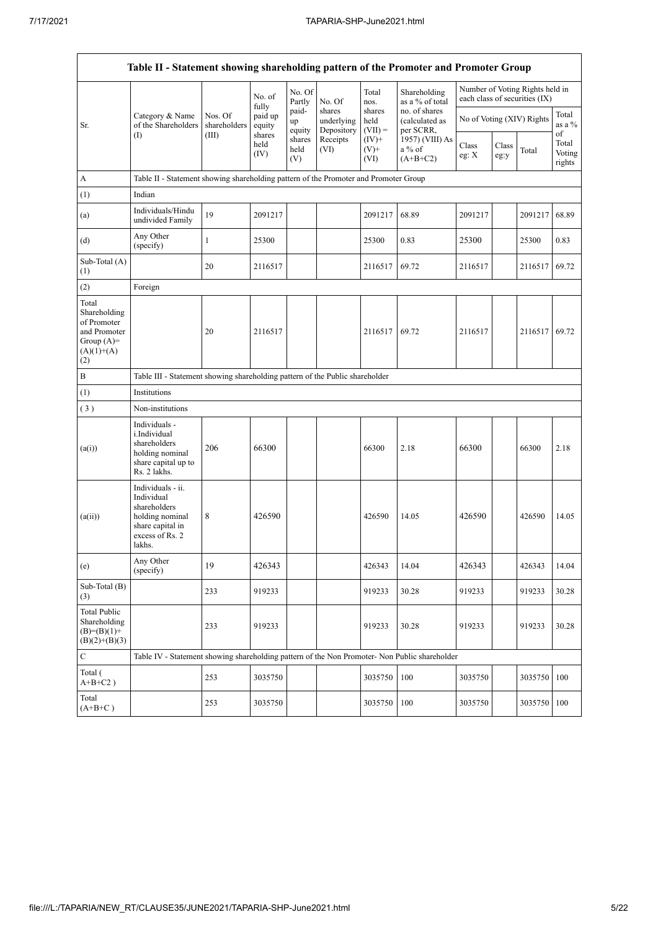$\mathsf{r}$ 

| Table II - Statement showing shareholding pattern of the Promoter and Promoter Group        |                                                                                                                     |                                                                              |                            |                       |                                    |                             |                                              |                           |               |                                                                  |                           |  |
|---------------------------------------------------------------------------------------------|---------------------------------------------------------------------------------------------------------------------|------------------------------------------------------------------------------|----------------------------|-----------------------|------------------------------------|-----------------------------|----------------------------------------------|---------------------------|---------------|------------------------------------------------------------------|---------------------------|--|
|                                                                                             |                                                                                                                     |                                                                              | No. of                     | No. Of<br>Partly      | No. Of                             | Total<br>nos.               | Shareholding<br>as a % of total              |                           |               | Number of Voting Rights held in<br>each class of securities (IX) |                           |  |
| Sr.                                                                                         | Category & Name<br>of the Shareholders                                                                              | Nos. Of<br>shareholders                                                      | fully<br>paid up<br>equity | paid-<br>up<br>equity | shares<br>underlying<br>Depository | shares<br>held<br>$(VII) =$ | no. of shares<br>(calculated as<br>per SCRR, | No of Voting (XIV) Rights |               |                                                                  | Total<br>as a %<br>of     |  |
|                                                                                             | (                                                                                                                   | (III)                                                                        | shares<br>held<br>(IV)     | shares<br>held<br>(V) | Receipts<br>(VI)                   | $(IV)+$<br>$(V)$ +<br>(VI)  | 1957) (VIII) As<br>a % of<br>$(A+B+C2)$      | Class<br>eg: X            | Class<br>eg:y | Total                                                            | Total<br>Voting<br>rights |  |
| A                                                                                           | Table II - Statement showing shareholding pattern of the Promoter and Promoter Group                                |                                                                              |                            |                       |                                    |                             |                                              |                           |               |                                                                  |                           |  |
| (1)                                                                                         | Indian                                                                                                              |                                                                              |                            |                       |                                    |                             |                                              |                           |               |                                                                  |                           |  |
| (a)                                                                                         | Individuals/Hindu<br>undivided Family                                                                               | 19                                                                           | 2091217                    |                       |                                    | 2091217                     | 68.89                                        | 2091217                   |               | 2091217                                                          | 68.89                     |  |
| (d)                                                                                         | Any Other<br>(specify)                                                                                              | 1                                                                            | 25300                      |                       |                                    | 25300                       | 0.83                                         | 25300                     |               | 25300                                                            | 0.83                      |  |
| Sub-Total (A)<br>(1)                                                                        |                                                                                                                     | 20                                                                           | 2116517                    |                       |                                    | 2116517                     | 69.72                                        | 2116517                   |               | 2116517                                                          | 69.72                     |  |
| (2)                                                                                         | Foreign                                                                                                             |                                                                              |                            |                       |                                    |                             |                                              |                           |               |                                                                  |                           |  |
| Total<br>Shareholding<br>of Promoter<br>and Promoter<br>Group $(A)=$<br>$(A)(1)+(A)$<br>(2) |                                                                                                                     | 20                                                                           | 2116517                    |                       |                                    | 2116517                     | 69.72                                        | 2116517                   |               | 2116517                                                          | 69.72                     |  |
| B                                                                                           |                                                                                                                     | Table III - Statement showing shareholding pattern of the Public shareholder |                            |                       |                                    |                             |                                              |                           |               |                                                                  |                           |  |
| (1)                                                                                         | Institutions                                                                                                        |                                                                              |                            |                       |                                    |                             |                                              |                           |               |                                                                  |                           |  |
| (3)                                                                                         | Non-institutions                                                                                                    |                                                                              |                            |                       |                                    |                             |                                              |                           |               |                                                                  |                           |  |
| (a(i))                                                                                      | Individuals -<br>i.Individual<br>shareholders<br>holding nominal<br>share capital up to<br>Rs. 2 lakhs.             | 206                                                                          | 66300                      |                       |                                    | 66300                       | 2.18                                         | 66300                     |               | 66300                                                            | 2.18                      |  |
| (a(ii))                                                                                     | Individuals - ii.<br>Individual<br>shareholders<br>holding nominal<br>share capital in<br>excess of Rs. 2<br>lakhs. | 8                                                                            | 426590                     |                       |                                    | 426590                      | 14.05                                        | 426590                    |               | 426590                                                           | 14.05                     |  |
| (e)                                                                                         | Any Other<br>(specify)                                                                                              | 19                                                                           | 426343                     |                       |                                    | 426343                      | 14.04                                        | 426343                    |               | 426343                                                           | 14.04                     |  |
| Sub-Total (B)<br>(3)                                                                        |                                                                                                                     | 233                                                                          | 919233                     |                       |                                    | 919233                      | 30.28                                        | 919233                    |               | 919233                                                           | 30.28                     |  |
| <b>Total Public</b><br>Shareholding<br>$(B)=(B)(1)+$<br>$(B)(2)+(B)(3)$                     |                                                                                                                     | 233                                                                          | 919233                     |                       |                                    | 919233                      | 30.28                                        | 919233                    |               | 919233                                                           | 30.28                     |  |
| $\mathbf C$                                                                                 | Table IV - Statement showing shareholding pattern of the Non Promoter- Non Public shareholder                       |                                                                              |                            |                       |                                    |                             |                                              |                           |               |                                                                  |                           |  |
| Total (<br>$A+B+C2$ )                                                                       |                                                                                                                     | 253                                                                          | 3035750                    |                       |                                    | 3035750                     | 100                                          | 3035750                   |               | 3035750                                                          | 100                       |  |
| Total<br>$(A+B+C)$                                                                          |                                                                                                                     | 253                                                                          | 3035750                    |                       |                                    | 3035750                     | 100                                          | 3035750                   |               | 3035750 100                                                      |                           |  |

 $\overline{\phantom{0}}$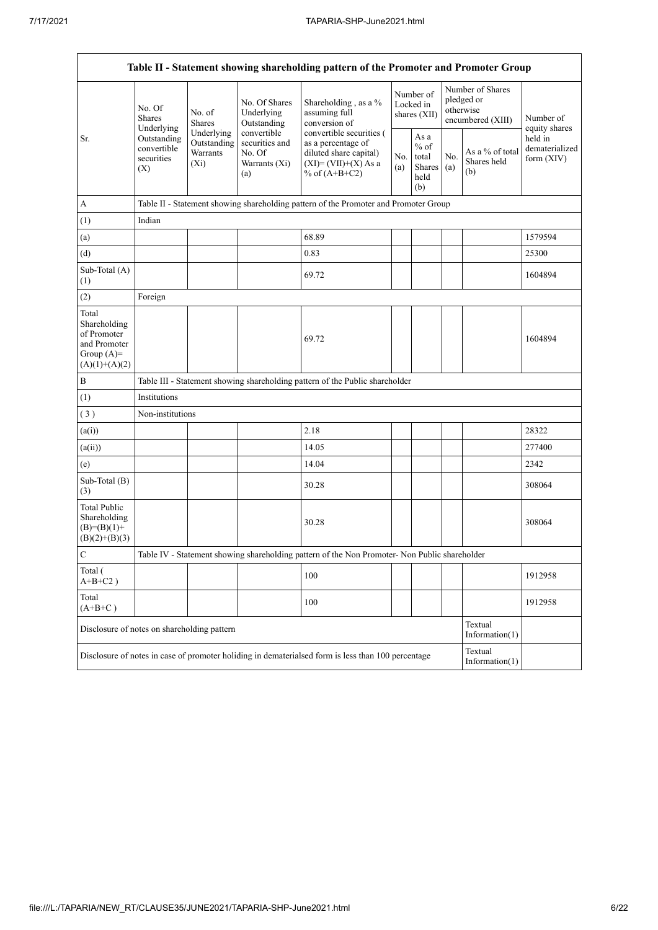|                                                                                         |                                                                                                     |                         |                                                                 | Table II - Statement showing shareholding pattern of the Promoter and Promoter Group                                   |            |                                                         |            |                                                                  |                                           |  |  |  |
|-----------------------------------------------------------------------------------------|-----------------------------------------------------------------------------------------------------|-------------------------|-----------------------------------------------------------------|------------------------------------------------------------------------------------------------------------------------|------------|---------------------------------------------------------|------------|------------------------------------------------------------------|-------------------------------------------|--|--|--|
|                                                                                         | No. Of<br><b>Shares</b><br>Underlying                                                               | No. of<br><b>Shares</b> | No. Of Shares<br>Underlying<br>Outstanding                      | Shareholding, as a %<br>assuming full<br>conversion of                                                                 |            | Number of<br>Locked in<br>shares (XII)                  |            | Number of Shares<br>pledged or<br>otherwise<br>encumbered (XIII) | Number of<br>equity shares                |  |  |  |
| Sr.                                                                                     | Underlying<br>Outstanding<br>Outstanding<br>convertible<br>Warrants<br>securities<br>$(X_i)$<br>(X) |                         | convertible<br>securities and<br>No. Of<br>Warrants (Xi)<br>(a) | convertible securities (<br>as a percentage of<br>diluted share capital)<br>$(XI) = (VII)+(X) As a$<br>% of $(A+B+C2)$ | No.<br>(a) | As a<br>$%$ of<br>total<br><b>Shares</b><br>held<br>(b) | No.<br>(a) | As a % of total<br>Shares held<br>(b)                            | held in<br>dematerialized<br>form $(XIV)$ |  |  |  |
| А                                                                                       |                                                                                                     |                         |                                                                 | Table II - Statement showing shareholding pattern of the Promoter and Promoter Group                                   |            |                                                         |            |                                                                  |                                           |  |  |  |
| (1)                                                                                     | Indian                                                                                              |                         |                                                                 |                                                                                                                        |            |                                                         |            |                                                                  |                                           |  |  |  |
| (a)                                                                                     |                                                                                                     |                         |                                                                 | 68.89                                                                                                                  |            |                                                         |            |                                                                  | 1579594                                   |  |  |  |
| (d)                                                                                     |                                                                                                     |                         |                                                                 | 0.83                                                                                                                   |            |                                                         |            |                                                                  | 25300                                     |  |  |  |
| Sub-Total (A)<br>(1)                                                                    |                                                                                                     |                         |                                                                 | 69.72                                                                                                                  |            |                                                         |            |                                                                  | 1604894                                   |  |  |  |
| (2)                                                                                     | Foreign                                                                                             |                         |                                                                 |                                                                                                                        |            |                                                         |            |                                                                  |                                           |  |  |  |
| Total<br>Shareholding<br>of Promoter<br>and Promoter<br>Group $(A)=$<br>$(A)(1)+(A)(2)$ |                                                                                                     |                         |                                                                 | 69.72                                                                                                                  |            |                                                         |            |                                                                  | 1604894                                   |  |  |  |
| B                                                                                       |                                                                                                     |                         |                                                                 | Table III - Statement showing shareholding pattern of the Public shareholder                                           |            |                                                         |            |                                                                  |                                           |  |  |  |
| (1)                                                                                     | Institutions                                                                                        |                         |                                                                 |                                                                                                                        |            |                                                         |            |                                                                  |                                           |  |  |  |
| (3)                                                                                     | Non-institutions                                                                                    |                         |                                                                 |                                                                                                                        |            |                                                         |            |                                                                  |                                           |  |  |  |
| (a(i))                                                                                  |                                                                                                     |                         |                                                                 | 2.18                                                                                                                   |            |                                                         |            |                                                                  | 28322                                     |  |  |  |
| (a(ii))                                                                                 |                                                                                                     |                         |                                                                 | 14.05                                                                                                                  |            |                                                         |            |                                                                  | 277400                                    |  |  |  |
| (e)                                                                                     |                                                                                                     |                         |                                                                 | 14.04                                                                                                                  |            |                                                         |            |                                                                  | 2342                                      |  |  |  |
| Sub-Total (B)<br>(3)                                                                    |                                                                                                     |                         |                                                                 | 30.28                                                                                                                  |            |                                                         |            |                                                                  | 308064                                    |  |  |  |
| <b>Total Public</b><br>Shareholding<br>$(B)=(B)(1)+$<br>$(B)(2)+(B)(3)$                 |                                                                                                     |                         |                                                                 | 30.28                                                                                                                  |            |                                                         |            |                                                                  | 308064                                    |  |  |  |
| $\mathbf C$                                                                             |                                                                                                     |                         |                                                                 | Table IV - Statement showing shareholding pattern of the Non Promoter- Non Public shareholder                          |            |                                                         |            |                                                                  |                                           |  |  |  |
| Total (<br>$A+B+C2$ )                                                                   |                                                                                                     |                         |                                                                 | 100                                                                                                                    |            |                                                         |            |                                                                  | 1912958                                   |  |  |  |
| Total<br>$(A+B+C)$                                                                      |                                                                                                     |                         |                                                                 | 100                                                                                                                    |            |                                                         |            |                                                                  | 1912958                                   |  |  |  |
| Disclosure of notes on shareholding pattern                                             |                                                                                                     |                         |                                                                 |                                                                                                                        |            |                                                         |            | Textual<br>Information $(1)$                                     |                                           |  |  |  |
|                                                                                         |                                                                                                     |                         |                                                                 | Disclosure of notes in case of promoter holiding in dematerialsed form is less than 100 percentage                     |            |                                                         |            | Textual<br>Information(1)                                        |                                           |  |  |  |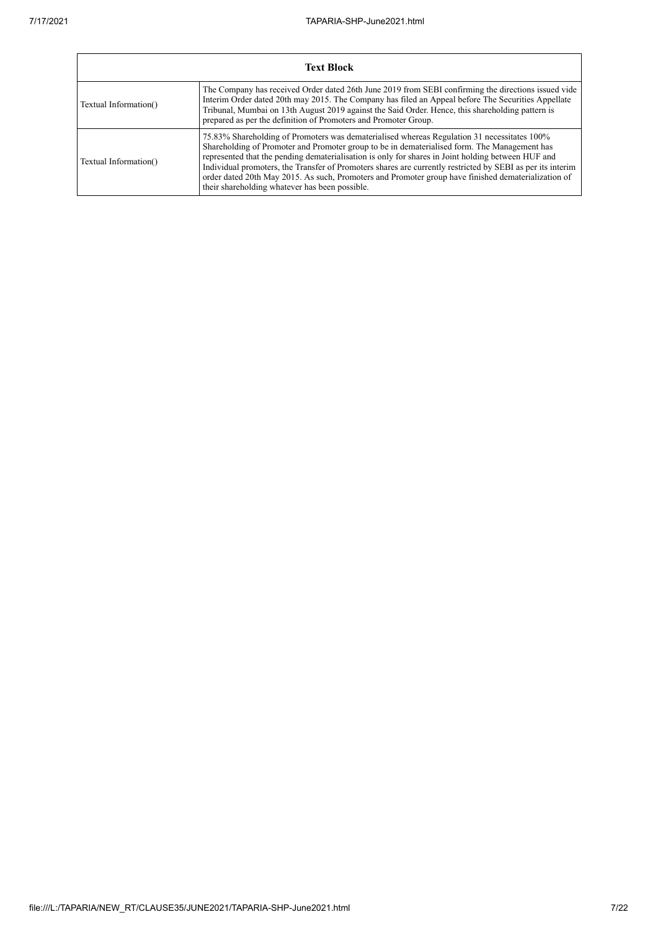| <b>Text Block</b>     |                                                                                                                                                                                                                                                                                                                                                                                                                                                                                                                                                                          |  |  |  |  |  |  |
|-----------------------|--------------------------------------------------------------------------------------------------------------------------------------------------------------------------------------------------------------------------------------------------------------------------------------------------------------------------------------------------------------------------------------------------------------------------------------------------------------------------------------------------------------------------------------------------------------------------|--|--|--|--|--|--|
| Textual Information() | The Company has received Order dated 26th June 2019 from SEBI confirming the directions issued vide<br>Interim Order dated 20th may 2015. The Company has filed an Appeal before The Securities Appellate<br>Tribunal, Mumbai on 13th August 2019 against the Said Order. Hence, this shareholding pattern is<br>prepared as per the definition of Promoters and Promoter Group.                                                                                                                                                                                         |  |  |  |  |  |  |
| Textual Information() | 75.83% Shareholding of Promoters was dematerialised whereas Regulation 31 necessitates 100%<br>Shareholding of Promoter and Promoter group to be in dematerialised form. The Management has<br>represented that the pending dematerialisation is only for shares in Joint holding between HUF and<br>Individual promoters, the Transfer of Promoters shares are currently restricted by SEBI as per its interim<br>order dated 20th May 2015. As such, Promoters and Promoter group have finished dematerialization of<br>their shareholding whatever has been possible. |  |  |  |  |  |  |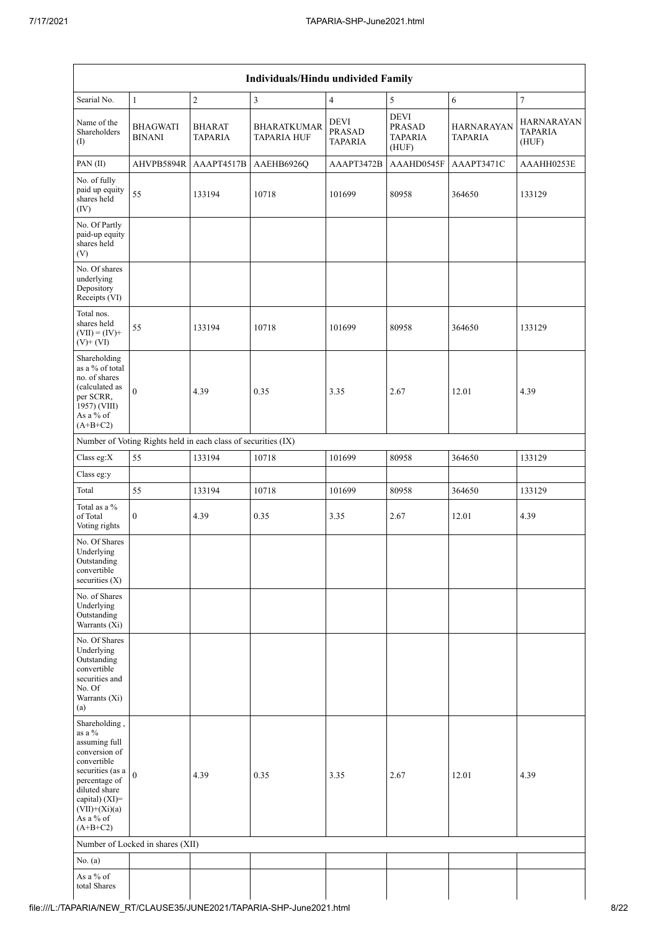| <b>Individuals/Hindu undivided Family</b>                                                                                                                                                         |                                  |                                 |                                          |                                         |                                                         |                                     |                                              |  |  |  |  |
|---------------------------------------------------------------------------------------------------------------------------------------------------------------------------------------------------|----------------------------------|---------------------------------|------------------------------------------|-----------------------------------------|---------------------------------------------------------|-------------------------------------|----------------------------------------------|--|--|--|--|
| Searial No.                                                                                                                                                                                       | $\mathbf{1}$                     | $\sqrt{2}$                      | $\mathfrak z$                            | 4                                       | 5                                                       | 6                                   | 7                                            |  |  |  |  |
| Name of the<br>Shareholders<br>(I)                                                                                                                                                                | <b>BHAGWATI</b><br><b>BINANI</b> | <b>BHARAT</b><br><b>TAPARIA</b> | <b>BHARATKUMAR</b><br><b>TAPARIA HUF</b> | <b>DEVI</b><br><b>PRASAD</b><br>TAPARIA | <b>DEVI</b><br><b>PRASAD</b><br><b>TAPARIA</b><br>(HUF) | <b>HARNARAYAN</b><br><b>TAPARIA</b> | <b>HARNARAYAN</b><br><b>TAPARIA</b><br>(HUF) |  |  |  |  |
| PAN (II)                                                                                                                                                                                          | AHVPB5894R                       | AAAPT4517B                      | AAEHB6926Q                               | AAAPT3472B                              | AAAHD0545F                                              | AAAPT3471C                          | AAAHH0253E                                   |  |  |  |  |
| No. of fully<br>paid up equity<br>shares held<br>(IV)                                                                                                                                             | 55                               | 133194                          | 10718                                    | 101699                                  | 80958                                                   | 364650                              | 133129                                       |  |  |  |  |
| No. Of Partly<br>paid-up equity<br>shares held<br>(V)                                                                                                                                             |                                  |                                 |                                          |                                         |                                                         |                                     |                                              |  |  |  |  |
| No. Of shares<br>underlying<br>Depository<br>Receipts (VI)                                                                                                                                        |                                  |                                 |                                          |                                         |                                                         |                                     |                                              |  |  |  |  |
| Total nos.<br>shares held<br>$(VII) = (IV) +$<br>$(V)$ + $(VI)$                                                                                                                                   | 55                               | 133194                          | 10718                                    | 101699                                  | 80958                                                   | 364650                              | 133129                                       |  |  |  |  |
| Shareholding<br>as a % of total<br>no. of shares<br>(calculated as<br>per SCRR,<br>1957) (VIII)<br>As a % of<br>$(A+B+C2)$                                                                        | $\overline{0}$                   | 4.39                            | 0.35                                     | 3.35                                    | 2.67                                                    | 12.01                               | 4.39                                         |  |  |  |  |
| Number of Voting Rights held in each class of securities (IX)                                                                                                                                     |                                  |                                 |                                          |                                         |                                                         |                                     |                                              |  |  |  |  |
| Class eg:X                                                                                                                                                                                        | 55                               | 133194                          | 10718                                    | 101699                                  | 80958                                                   | 364650                              | 133129                                       |  |  |  |  |
| Class eg:y                                                                                                                                                                                        |                                  |                                 |                                          |                                         |                                                         |                                     |                                              |  |  |  |  |
| Total                                                                                                                                                                                             | 55                               | 133194                          | 10718                                    | 101699                                  | 80958                                                   | 364650                              | 133129                                       |  |  |  |  |
| Total as a %<br>of Total<br>Voting rights                                                                                                                                                         | $\boldsymbol{0}$                 | 4.39                            | 0.35                                     | 3.35                                    | 2.67                                                    | 12.01                               | 4.39                                         |  |  |  |  |
| No. Of Shares<br>Underlying<br>Outstanding<br>convertible<br>securities (X)                                                                                                                       |                                  |                                 |                                          |                                         |                                                         |                                     |                                              |  |  |  |  |
| No. of Shares<br>Underlying<br>Outstanding<br>Warrants (Xi)                                                                                                                                       |                                  |                                 |                                          |                                         |                                                         |                                     |                                              |  |  |  |  |
| No. Of Shares<br>Underlying<br>Outstanding<br>convertible<br>securities and<br>No. Of<br>Warrants (Xi)<br>(a)                                                                                     |                                  |                                 |                                          |                                         |                                                         |                                     |                                              |  |  |  |  |
| Shareholding,<br>as a $\%$<br>assuming full<br>conversion of<br>convertible<br>securities (as a<br>percentage of<br>diluted share<br>capital) (XI)=<br>$(VII)+(Xi)(a)$<br>As a % of<br>$(A+B+C2)$ | $\boldsymbol{0}$                 | 4.39                            | 0.35                                     | 3.35                                    | 2.67                                                    | 12.01                               | 4.39                                         |  |  |  |  |
|                                                                                                                                                                                                   | Number of Locked in shares (XII) |                                 |                                          |                                         |                                                         |                                     |                                              |  |  |  |  |
| No. (a)                                                                                                                                                                                           |                                  |                                 |                                          |                                         |                                                         |                                     |                                              |  |  |  |  |
| As a % of<br>total Shares                                                                                                                                                                         |                                  |                                 |                                          |                                         |                                                         |                                     |                                              |  |  |  |  |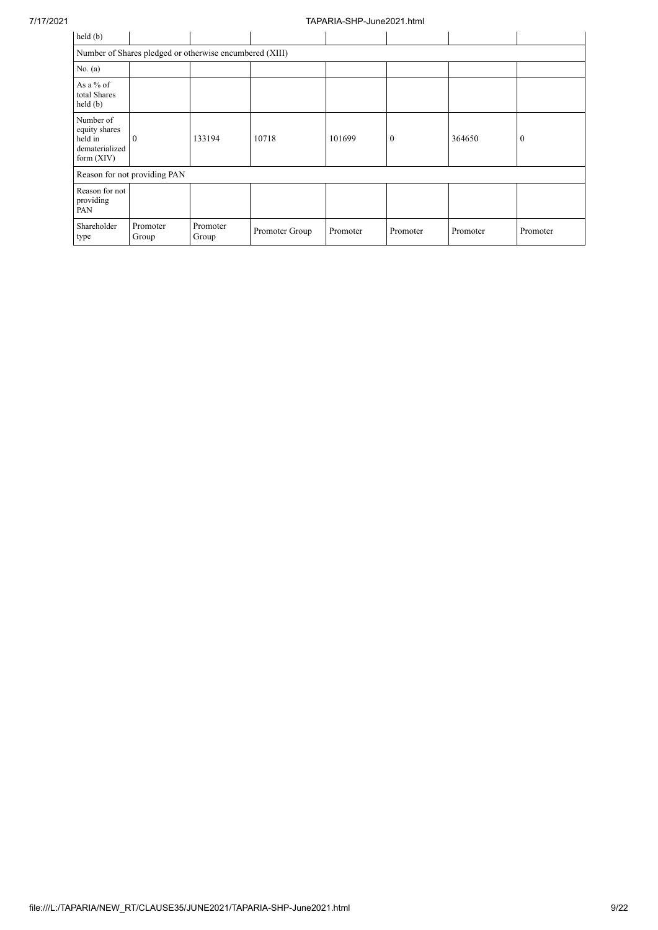## 7/17/2021 TAPARIA-SHP-June2021.html

| held (b)                                                                |                              |                   |                |          |                  |          |                  |  |  |  |
|-------------------------------------------------------------------------|------------------------------|-------------------|----------------|----------|------------------|----------|------------------|--|--|--|
| Number of Shares pledged or otherwise encumbered (XIII)                 |                              |                   |                |          |                  |          |                  |  |  |  |
| No. (a)                                                                 |                              |                   |                |          |                  |          |                  |  |  |  |
| As a $%$ of<br>total Shares<br>held(b)                                  |                              |                   |                |          |                  |          |                  |  |  |  |
| Number of<br>equity shares<br>held in<br>dematerialized<br>form $(XIV)$ | $\theta$                     | 133194            | 10718          | 101699   | $\boldsymbol{0}$ | 364650   | $\boldsymbol{0}$ |  |  |  |
|                                                                         | Reason for not providing PAN |                   |                |          |                  |          |                  |  |  |  |
| Reason for not<br>providing<br>PAN                                      |                              |                   |                |          |                  |          |                  |  |  |  |
| Shareholder<br>type                                                     | Promoter<br>Group            | Promoter<br>Group | Promoter Group | Promoter | Promoter         | Promoter | Promoter         |  |  |  |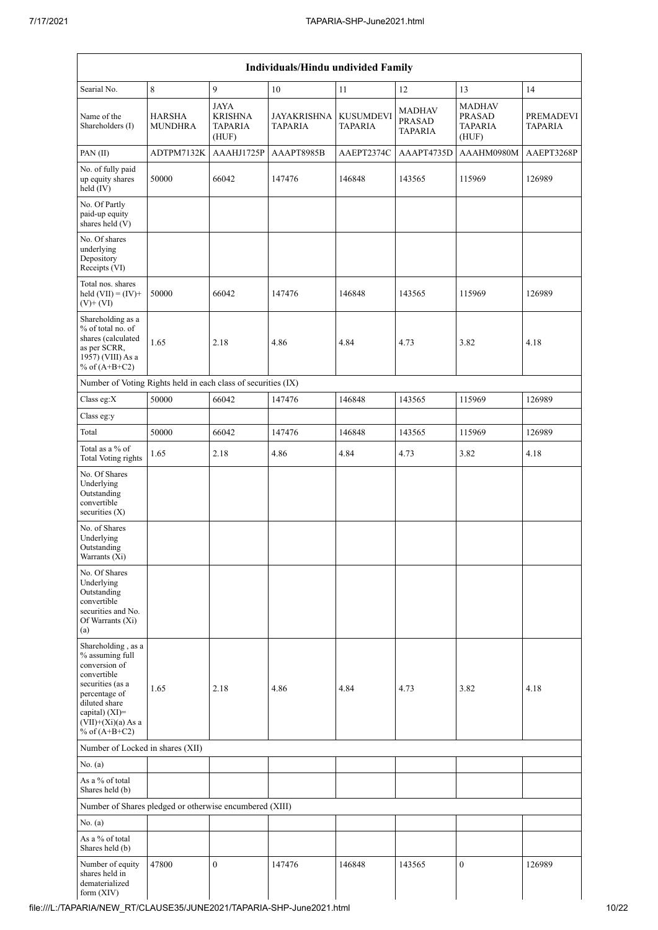| Individuals/Hindu undivided Family                                                                                                                                                       |                                 |                                                          |                               |                                    |                                                  |                                                    |                      |  |  |  |  |
|------------------------------------------------------------------------------------------------------------------------------------------------------------------------------------------|---------------------------------|----------------------------------------------------------|-------------------------------|------------------------------------|--------------------------------------------------|----------------------------------------------------|----------------------|--|--|--|--|
| Searial No.                                                                                                                                                                              | 8                               | 9                                                        | 10                            | 11                                 | 12                                               | 13                                                 | 14                   |  |  |  |  |
| Name of the<br>Shareholders (I)                                                                                                                                                          | <b>HARSHA</b><br><b>MUNDHRA</b> | <b>JAYA</b><br><b>KRISHNA</b><br><b>TAPARIA</b><br>(HUF) | JAYAKRISHNA<br><b>TAPARIA</b> | <b>KUSUMDEVI</b><br><b>TAPARIA</b> | <b>MADHAV</b><br><b>PRASAD</b><br><b>TAPARIA</b> | <b>MADHAV</b><br>PRASAD<br><b>TAPARIA</b><br>(HUF) | PREMADEVI<br>TAPARIA |  |  |  |  |
| PAN(II)                                                                                                                                                                                  | ADTPM7132K                      | AAAHJ1725P                                               | AAAPT8985B                    | AAEPT2374C                         | AAAPT4735D                                       | AAAHM0980M                                         | AAEPT3268P           |  |  |  |  |
| No. of fully paid<br>up equity shares<br>held (IV)                                                                                                                                       | 50000                           | 66042                                                    | 147476                        | 146848                             | 143565                                           | 115969                                             | 126989               |  |  |  |  |
| No. Of Partly<br>paid-up equity<br>shares held (V)                                                                                                                                       |                                 |                                                          |                               |                                    |                                                  |                                                    |                      |  |  |  |  |
| No. Of shares<br>underlying<br>Depository<br>Receipts (VI)                                                                                                                               |                                 |                                                          |                               |                                    |                                                  |                                                    |                      |  |  |  |  |
| Total nos. shares<br>held $(VII) = (IV) +$<br>$(V)$ + $(VI)$                                                                                                                             | 50000                           | 66042                                                    | 147476                        | 146848                             | 143565                                           | 115969                                             | 126989               |  |  |  |  |
| Shareholding as a<br>% of total no. of<br>shares (calculated<br>as per SCRR,<br>1957) (VIII) As a<br>% of $(A+B+C2)$                                                                     | 1.65                            | 2.18                                                     | 4.86                          | 4.84                               | 4.73                                             | 3.82                                               | 4.18                 |  |  |  |  |
| Number of Voting Rights held in each class of securities (IX)                                                                                                                            |                                 |                                                          |                               |                                    |                                                  |                                                    |                      |  |  |  |  |
| Class eg:X                                                                                                                                                                               | 50000                           | 66042                                                    | 147476                        | 146848                             | 143565                                           | 115969                                             | 126989               |  |  |  |  |
| Class eg:y                                                                                                                                                                               |                                 |                                                          |                               |                                    |                                                  |                                                    |                      |  |  |  |  |
| Total                                                                                                                                                                                    | 50000                           | 66042                                                    | 147476                        | 146848                             | 143565                                           | 115969                                             | 126989               |  |  |  |  |
| Total as a % of<br><b>Total Voting rights</b>                                                                                                                                            | 1.65                            | 2.18                                                     | 4.86                          | 4.84                               | 4.73                                             | 3.82                                               | 4.18                 |  |  |  |  |
| No. Of Shares<br>Underlying<br>Outstanding<br>convertible<br>securities (X)                                                                                                              |                                 |                                                          |                               |                                    |                                                  |                                                    |                      |  |  |  |  |
| No. of Shares<br>Underlying<br>Outstanding<br>Warrants (Xi)                                                                                                                              |                                 |                                                          |                               |                                    |                                                  |                                                    |                      |  |  |  |  |
| No. Of Shares<br>Underlying<br>Outstanding<br>convertible<br>securities and No.<br>Of Warrants (Xi)<br>(a)                                                                               |                                 |                                                          |                               |                                    |                                                  |                                                    |                      |  |  |  |  |
| Shareholding, as a<br>% assuming full<br>conversion of<br>convertible<br>securities (as a<br>percentage of<br>diluted share<br>capital) (XI)=<br>$(VII)+(Xi)(a)$ As a<br>% of $(A+B+C2)$ | 1.65                            | 2.18                                                     | 4.86                          | 4.84                               | 4.73                                             | 3.82                                               | 4.18                 |  |  |  |  |
| Number of Locked in shares (XII)                                                                                                                                                         |                                 |                                                          |                               |                                    |                                                  |                                                    |                      |  |  |  |  |
| No. (a)                                                                                                                                                                                  |                                 |                                                          |                               |                                    |                                                  |                                                    |                      |  |  |  |  |
| As a % of total<br>Shares held (b)                                                                                                                                                       |                                 |                                                          |                               |                                    |                                                  |                                                    |                      |  |  |  |  |
| Number of Shares pledged or otherwise encumbered (XIII)                                                                                                                                  |                                 |                                                          |                               |                                    |                                                  |                                                    |                      |  |  |  |  |
| No. (a)                                                                                                                                                                                  |                                 |                                                          |                               |                                    |                                                  |                                                    |                      |  |  |  |  |
| As a % of total<br>Shares held (b)                                                                                                                                                       |                                 |                                                          |                               |                                    |                                                  |                                                    |                      |  |  |  |  |
| Number of equity<br>shares held in<br>dematerialized<br>form (XIV)                                                                                                                       | 47800                           | $\mathbf{0}$                                             | 147476                        | 146848                             | 143565                                           | $\boldsymbol{0}$                                   | 126989               |  |  |  |  |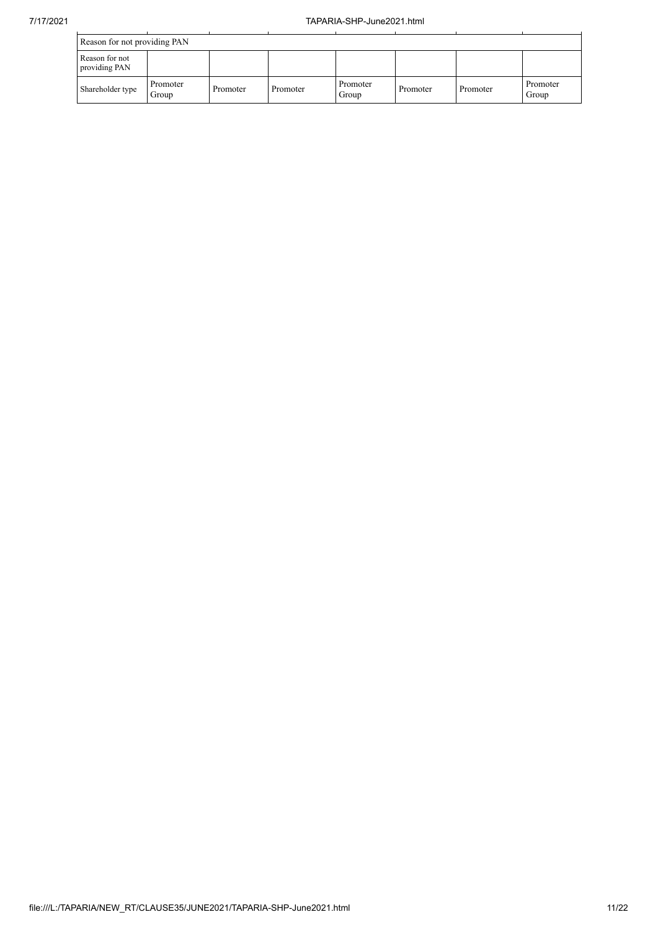$\sim$ 

| Reason for not providing PAN |  |
|------------------------------|--|

| Reason for not providing PAN    |                   |          |          |                   |          |          |                   |  |  |  |
|---------------------------------|-------------------|----------|----------|-------------------|----------|----------|-------------------|--|--|--|
| Reason for not<br>providing PAN |                   |          |          |                   |          |          |                   |  |  |  |
| Shareholder type                | Promoter<br>Group | Promoter | Promoter | Promoter<br>Group | Promoter | Promoter | Promoter<br>Group |  |  |  |

 $\sim$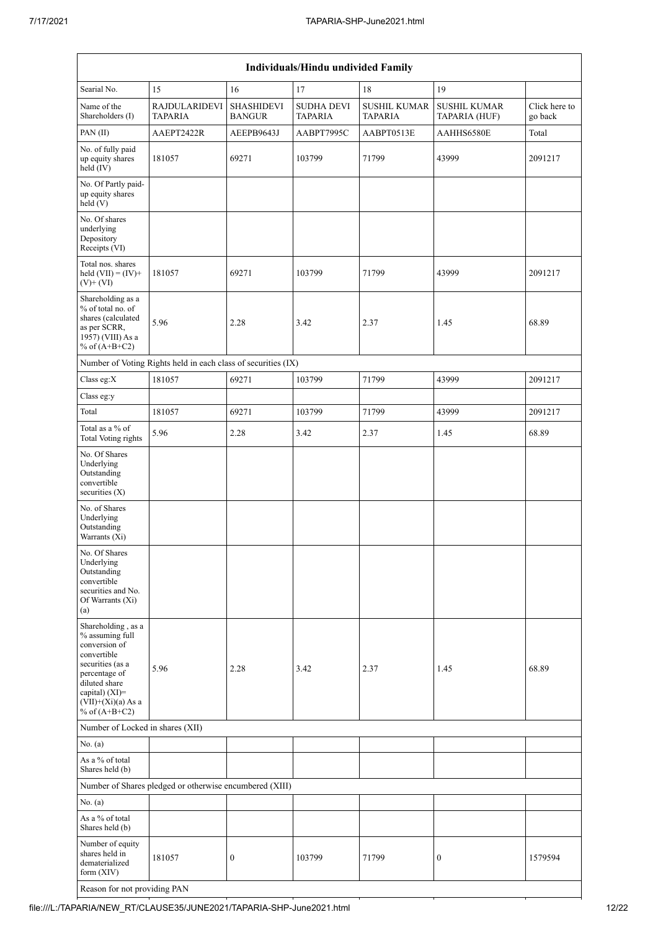| Individuals/Hindu undivided Family                                                                                                                                                       |                                                               |                                    |                              |                                       |                                      |                          |  |
|------------------------------------------------------------------------------------------------------------------------------------------------------------------------------------------|---------------------------------------------------------------|------------------------------------|------------------------------|---------------------------------------|--------------------------------------|--------------------------|--|
| Searial No.                                                                                                                                                                              | 15                                                            | 16                                 | 17                           | 18                                    | 19                                   |                          |  |
| Name of the<br>Shareholders (I)                                                                                                                                                          | <b>RAJDULARIDEVI</b><br><b>TAPARIA</b>                        | <b>SHASHIDEVI</b><br><b>BANGUR</b> | <b>SUDHA DEVI</b><br>TAPARIA | <b>SUSHIL KUMAR</b><br><b>TAPARIA</b> | <b>SUSHIL KUMAR</b><br>TAPARIA (HUF) | Click here to<br>go back |  |
| PAN(II)                                                                                                                                                                                  | AAEPT2422R                                                    | AEEPB9643J                         | AABPT7995C                   | AABPT0513E                            | AAHHS6580E                           | Total                    |  |
| No. of fully paid<br>up equity shares<br>held (IV)                                                                                                                                       | 181057                                                        | 69271                              | 103799                       | 71799                                 | 43999                                | 2091217                  |  |
| No. Of Partly paid-<br>up equity shares<br>held (V)                                                                                                                                      |                                                               |                                    |                              |                                       |                                      |                          |  |
| No. Of shares<br>underlying<br>Depository<br>Receipts (VI)                                                                                                                               |                                                               |                                    |                              |                                       |                                      |                          |  |
| Total nos. shares<br>held $(VII) = (IV) +$<br>$(V)$ + $(VI)$                                                                                                                             | 181057                                                        | 69271                              | 103799                       | 71799                                 | 43999                                | 2091217                  |  |
| Shareholding as a<br>% of total no. of<br>shares (calculated<br>as per SCRR,<br>1957) (VIII) As a<br>% of $(A+B+C2)$                                                                     | 5.96                                                          | 2.28                               | 3.42                         | 2.37                                  | 1.45                                 | 68.89                    |  |
|                                                                                                                                                                                          | Number of Voting Rights held in each class of securities (IX) |                                    |                              |                                       |                                      |                          |  |
| Class eg:X                                                                                                                                                                               | 181057                                                        | 69271                              | 103799                       | 71799                                 | 43999                                | 2091217                  |  |
| Class eg:y                                                                                                                                                                               |                                                               |                                    |                              |                                       |                                      |                          |  |
| Total                                                                                                                                                                                    | 181057                                                        | 69271                              | 103799                       | 71799                                 | 43999                                | 2091217                  |  |
| Total as a % of<br>Total Voting rights                                                                                                                                                   | 5.96                                                          | 2.28                               | 3.42                         | 2.37                                  | 1.45                                 | 68.89                    |  |
| No. Of Shares<br>Underlying<br>Outstanding<br>convertible<br>securities (X)                                                                                                              |                                                               |                                    |                              |                                       |                                      |                          |  |
| No. of Shares<br>Underlying<br>Outstanding<br>Warrants (Xi)                                                                                                                              |                                                               |                                    |                              |                                       |                                      |                          |  |
| No. Of Shares<br>Underlying<br>Outstanding<br>convertible<br>securities and No.<br>Of Warrants (Xi)<br>(a)                                                                               |                                                               |                                    |                              |                                       |                                      |                          |  |
| Shareholding, as a<br>% assuming full<br>conversion of<br>convertible<br>securities (as a<br>percentage of<br>diluted share<br>capital) (XI)=<br>$(VII)+(Xi)(a)$ As a<br>% of $(A+B+C2)$ | 5.96                                                          | 2.28                               | 3.42                         | 2.37                                  | 1.45                                 | 68.89                    |  |
| Number of Locked in shares (XII)                                                                                                                                                         |                                                               |                                    |                              |                                       |                                      |                          |  |
| No. (a)                                                                                                                                                                                  |                                                               |                                    |                              |                                       |                                      |                          |  |
| As a % of total<br>Shares held (b)                                                                                                                                                       |                                                               |                                    |                              |                                       |                                      |                          |  |
|                                                                                                                                                                                          | Number of Shares pledged or otherwise encumbered (XIII)       |                                    |                              |                                       |                                      |                          |  |
| No. (a)                                                                                                                                                                                  |                                                               |                                    |                              |                                       |                                      |                          |  |
| As a % of total<br>Shares held (b)                                                                                                                                                       |                                                               |                                    |                              |                                       |                                      |                          |  |
| Number of equity<br>shares held in<br>dematerialized<br>form $(XIV)$                                                                                                                     | 181057                                                        | $\boldsymbol{0}$                   | 103799                       | 71799                                 | $\boldsymbol{0}$                     | 1579594                  |  |

Reason for not providing PAN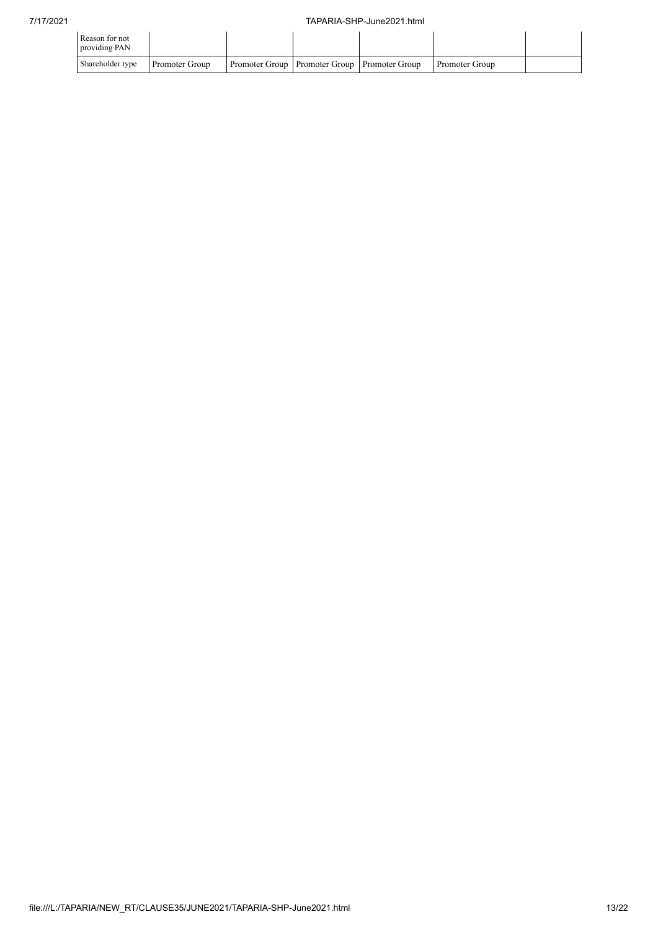| Reason for not<br>providing PAN |                |                                                  |                |  |
|---------------------------------|----------------|--------------------------------------------------|----------------|--|
| Shareholder type                | Promoter Group | Promoter Group   Promoter Group   Promoter Group | Promoter Group |  |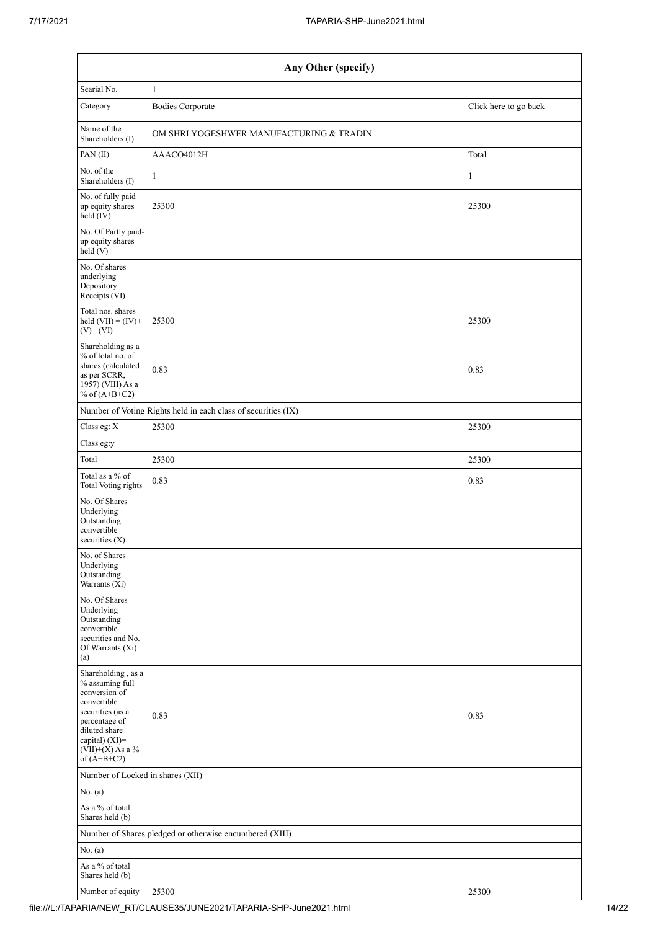| Any Other (specify)                                                                                                                                                                  |                                                               |                       |  |  |  |  |  |
|--------------------------------------------------------------------------------------------------------------------------------------------------------------------------------------|---------------------------------------------------------------|-----------------------|--|--|--|--|--|
| Searial No.                                                                                                                                                                          | $\mathbf{1}$                                                  |                       |  |  |  |  |  |
| Category                                                                                                                                                                             | <b>Bodies Corporate</b>                                       | Click here to go back |  |  |  |  |  |
| Name of the<br>Shareholders (I)                                                                                                                                                      | OM SHRI YOGESHWER MANUFACTURING & TRADIN                      |                       |  |  |  |  |  |
| PAN(II)                                                                                                                                                                              | AAACO4012H                                                    | Total                 |  |  |  |  |  |
| No. of the<br>Shareholders (I)                                                                                                                                                       | $\mathbf{1}$                                                  | $\mathbf{1}$          |  |  |  |  |  |
| No. of fully paid<br>up equity shares<br>held (IV)                                                                                                                                   | 25300                                                         | 25300                 |  |  |  |  |  |
| No. Of Partly paid-<br>up equity shares<br>held (V)                                                                                                                                  |                                                               |                       |  |  |  |  |  |
| No. Of shares<br>underlying<br>Depository<br>Receipts (VI)                                                                                                                           |                                                               |                       |  |  |  |  |  |
| Total nos. shares<br>held $(VII) = (IV) +$<br>$(V)$ + $(VI)$                                                                                                                         | 25300                                                         | 25300                 |  |  |  |  |  |
| Shareholding as a<br>% of total no. of<br>shares (calculated<br>as per SCRR,<br>1957) (VIII) As a<br>% of $(A+B+C2)$                                                                 | 0.83                                                          | 0.83                  |  |  |  |  |  |
|                                                                                                                                                                                      | Number of Voting Rights held in each class of securities (IX) |                       |  |  |  |  |  |
| Class eg: X                                                                                                                                                                          | 25300                                                         | 25300                 |  |  |  |  |  |
| Class eg:y                                                                                                                                                                           |                                                               |                       |  |  |  |  |  |
| Total                                                                                                                                                                                | 25300                                                         | 25300                 |  |  |  |  |  |
| Total as a % of<br>Total Voting rights                                                                                                                                               | 0.83                                                          | 0.83                  |  |  |  |  |  |
| No. Of Shares<br>Underlying<br>Outstanding<br>convertible<br>securities (X)                                                                                                          |                                                               |                       |  |  |  |  |  |
| No. of Shares<br>Underlying<br>Outstanding<br>Warrants (Xi)                                                                                                                          |                                                               |                       |  |  |  |  |  |
| No. Of Shares<br>Underlying<br>Outstanding<br>convertible<br>securities and No.<br>Of Warrants (Xi)<br>(a)                                                                           |                                                               |                       |  |  |  |  |  |
| Shareholding, as a<br>% assuming full<br>conversion of<br>convertible<br>securities (as a<br>percentage of<br>diluted share<br>capital) (XI)=<br>$(VII)+(X)$ As a %<br>of $(A+B+C2)$ | 0.83                                                          | 0.83                  |  |  |  |  |  |
| Number of Locked in shares (XII)                                                                                                                                                     |                                                               |                       |  |  |  |  |  |
| No. (a)                                                                                                                                                                              |                                                               |                       |  |  |  |  |  |
| As a % of total<br>Shares held (b)                                                                                                                                                   |                                                               |                       |  |  |  |  |  |
|                                                                                                                                                                                      | Number of Shares pledged or otherwise encumbered (XIII)       |                       |  |  |  |  |  |
| No. $(a)$                                                                                                                                                                            |                                                               |                       |  |  |  |  |  |
| As a % of total<br>Shares held (b)                                                                                                                                                   |                                                               |                       |  |  |  |  |  |
| Number of equity                                                                                                                                                                     | 25300                                                         | 25300                 |  |  |  |  |  |

file:///L:/TAPARIA/NEW\_RT/CLAUSE35/JUNE2021/TAPARIA-SHP-June2021.html 14/22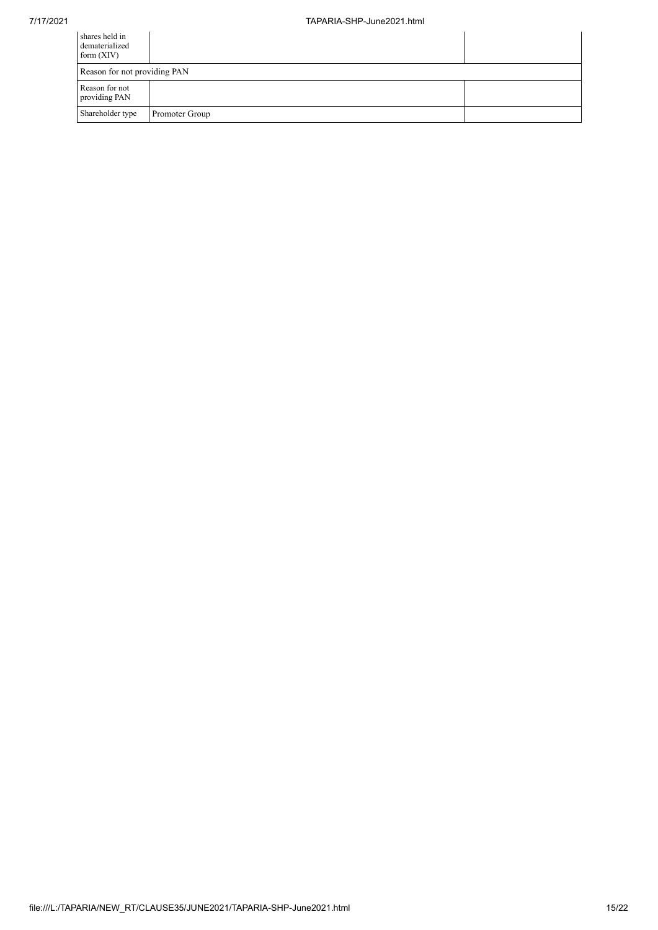| shares held in<br>dematerialized<br>form $(XIV)$ |                |  |  |  |  |  |
|--------------------------------------------------|----------------|--|--|--|--|--|
| Reason for not providing PAN                     |                |  |  |  |  |  |
| Reason for not<br>providing PAN                  |                |  |  |  |  |  |
| Shareholder type                                 | Promoter Group |  |  |  |  |  |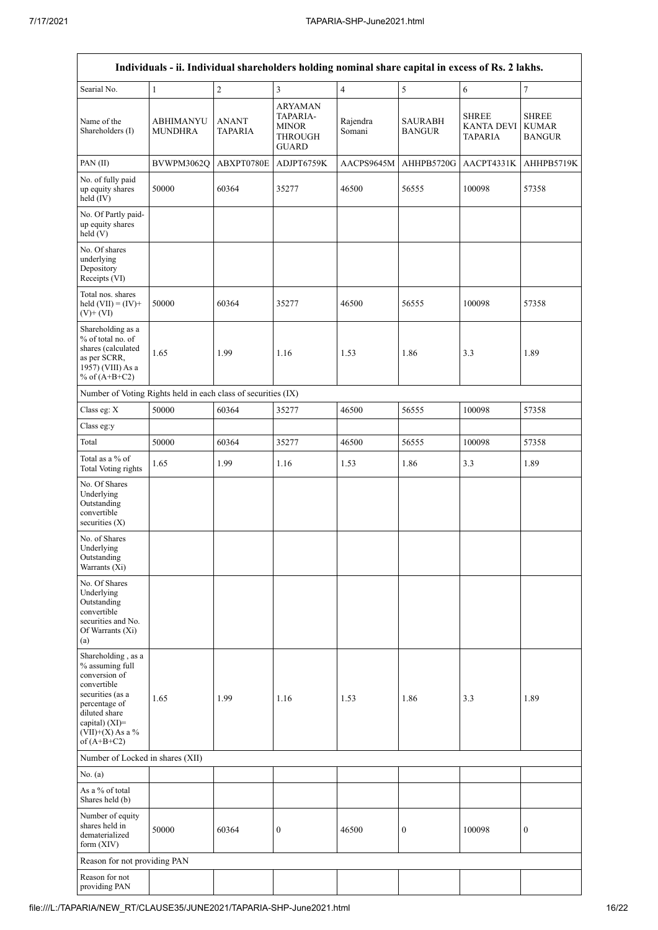| Individuals - ii. Individual shareholders holding nominal share capital in excess of Rs. 2 lakhs.                                                                                    |                             |                                |                                                                              |                    |                                 |                                              |                                               |  |  |
|--------------------------------------------------------------------------------------------------------------------------------------------------------------------------------------|-----------------------------|--------------------------------|------------------------------------------------------------------------------|--------------------|---------------------------------|----------------------------------------------|-----------------------------------------------|--|--|
| Searial No.                                                                                                                                                                          | $\mathbf{1}$                | $\sqrt{2}$                     | $\overline{3}$                                                               | $\overline{4}$     | $\mathfrak s$                   | 6                                            | $\boldsymbol{7}$                              |  |  |
| Name of the<br>Shareholders (I)                                                                                                                                                      | ABHIMANYU<br><b>MUNDHRA</b> | <b>ANANT</b><br><b>TAPARIA</b> | <b>ARYAMAN</b><br>TAPARIA-<br><b>MINOR</b><br><b>THROUGH</b><br><b>GUARD</b> | Rajendra<br>Somani | <b>SAURABH</b><br><b>BANGUR</b> | <b>SHREE</b><br><b>KANTA DEVI</b><br>TAPARIA | <b>SHREE</b><br><b>KUMAR</b><br><b>BANGUR</b> |  |  |
| PAN (II)                                                                                                                                                                             | BVWPM3062Q                  | ABXPT0780E                     | ADJPT6759K                                                                   | AACPS9645M         | AHHPB5720G                      | AACPT4331K                                   | AHHPB5719K                                    |  |  |
| No. of fully paid<br>up equity shares<br>held (IV)                                                                                                                                   | 50000                       | 60364                          | 35277                                                                        | 46500              | 56555                           | 100098                                       | 57358                                         |  |  |
| No. Of Partly paid-<br>up equity shares<br>held (V)                                                                                                                                  |                             |                                |                                                                              |                    |                                 |                                              |                                               |  |  |
| No. Of shares<br>underlying<br>Depository<br>Receipts (VI)                                                                                                                           |                             |                                |                                                                              |                    |                                 |                                              |                                               |  |  |
| Total nos. shares<br>held $(VII) = (IV) +$<br>$(V)$ + $(VI)$                                                                                                                         | 50000                       | 60364                          | 35277                                                                        | 46500              | 56555                           | 100098                                       | 57358                                         |  |  |
| Shareholding as a<br>% of total no. of<br>shares (calculated<br>as per SCRR,<br>1957) (VIII) As a<br>% of $(A+B+C2)$                                                                 | 1.65                        | 1.99                           | 1.16                                                                         | 1.53               | 1.86                            | 3.3                                          | 1.89                                          |  |  |
| Number of Voting Rights held in each class of securities (IX)                                                                                                                        |                             |                                |                                                                              |                    |                                 |                                              |                                               |  |  |
| Class eg: X                                                                                                                                                                          | 50000                       | 60364                          | 35277                                                                        | 46500              | 56555                           | 100098                                       | 57358                                         |  |  |
| Class eg:y                                                                                                                                                                           |                             |                                |                                                                              |                    |                                 |                                              |                                               |  |  |
| Total                                                                                                                                                                                | 50000                       | 60364                          | 35277                                                                        | 46500              | 56555                           | 100098                                       | 57358                                         |  |  |
| Total as a % of<br><b>Total Voting rights</b>                                                                                                                                        | 1.65                        | 1.99                           | 1.16                                                                         | 1.53               | 1.86                            | 3.3                                          | 1.89                                          |  |  |
| No. Of Shares<br>Underlying<br>Outstanding<br>convertible<br>securities (X)                                                                                                          |                             |                                |                                                                              |                    |                                 |                                              |                                               |  |  |
| No. of Shares<br>Underlying<br>Outstanding<br>Warrants (Xi)                                                                                                                          |                             |                                |                                                                              |                    |                                 |                                              |                                               |  |  |
| No. Of Shares<br>Underlying<br>Outstanding<br>convertible<br>securities and No.<br>Of Warrants (Xi)<br>(a)                                                                           |                             |                                |                                                                              |                    |                                 |                                              |                                               |  |  |
| Shareholding, as a<br>% assuming full<br>conversion of<br>convertible<br>securities (as a<br>percentage of<br>diluted share<br>capital) (XI)=<br>$(VII)+(X)$ As a %<br>of $(A+B+C2)$ | 1.65                        | 1.99                           | 1.16                                                                         | 1.53               | 1.86                            | 3.3                                          | 1.89                                          |  |  |
| Number of Locked in shares (XII)                                                                                                                                                     |                             |                                |                                                                              |                    |                                 |                                              |                                               |  |  |
| No. (a)                                                                                                                                                                              |                             |                                |                                                                              |                    |                                 |                                              |                                               |  |  |
| As a % of total<br>Shares held (b)                                                                                                                                                   |                             |                                |                                                                              |                    |                                 |                                              |                                               |  |  |
| Number of equity<br>shares held in<br>dematerialized<br>form (XIV)                                                                                                                   | 50000                       | 60364                          | $\boldsymbol{0}$                                                             | 46500              | $\boldsymbol{0}$                | 100098                                       | $\boldsymbol{0}$                              |  |  |
| Reason for not providing PAN                                                                                                                                                         |                             |                                |                                                                              |                    |                                 |                                              |                                               |  |  |
| Reason for not<br>providing PAN                                                                                                                                                      |                             |                                |                                                                              |                    |                                 |                                              |                                               |  |  |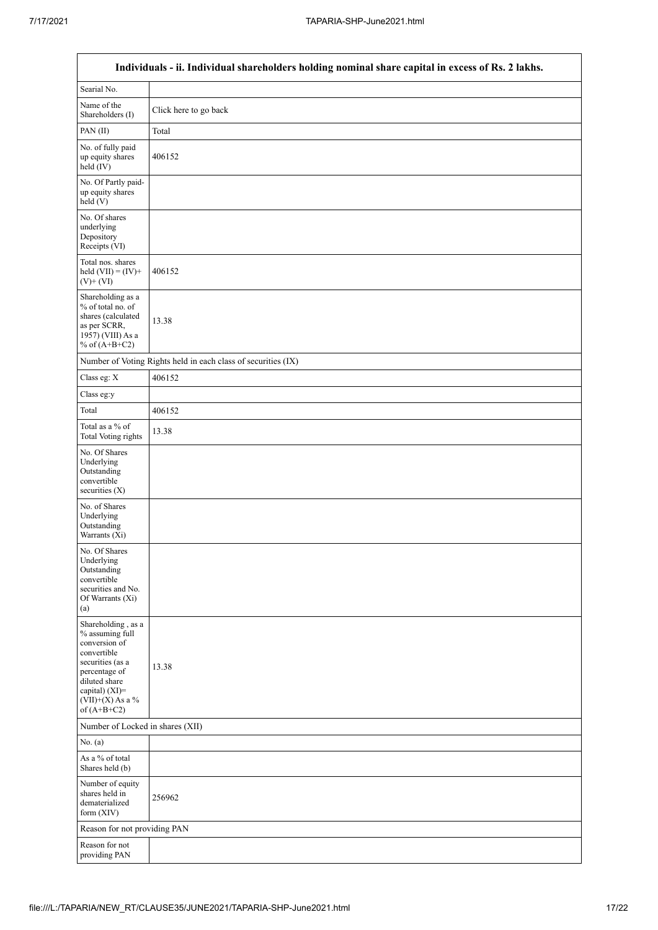$\overline{1}$ 

|                                                                                                                                                                                      | Individuals - ii. Individual shareholders holding nominal share capital in excess of Rs. 2 lakhs. |  |  |  |  |  |  |  |  |
|--------------------------------------------------------------------------------------------------------------------------------------------------------------------------------------|---------------------------------------------------------------------------------------------------|--|--|--|--|--|--|--|--|
| Searial No.                                                                                                                                                                          |                                                                                                   |  |  |  |  |  |  |  |  |
| Name of the<br>Shareholders (I)                                                                                                                                                      | Click here to go back                                                                             |  |  |  |  |  |  |  |  |
| PAN(II)                                                                                                                                                                              | Total                                                                                             |  |  |  |  |  |  |  |  |
| No. of fully paid<br>up equity shares<br>held (IV)                                                                                                                                   | 406152                                                                                            |  |  |  |  |  |  |  |  |
| No. Of Partly paid-<br>up equity shares<br>held(V)                                                                                                                                   |                                                                                                   |  |  |  |  |  |  |  |  |
| No. Of shares<br>underlying<br>Depository<br>Receipts (VI)                                                                                                                           |                                                                                                   |  |  |  |  |  |  |  |  |
| Total nos. shares<br>held $(VII) = (IV) +$<br>$(V)$ + $(VI)$                                                                                                                         | 406152                                                                                            |  |  |  |  |  |  |  |  |
| Shareholding as a<br>% of total no. of<br>shares (calculated<br>as per SCRR,<br>1957) (VIII) As a<br>% of $(A+B+C2)$                                                                 | 13.38                                                                                             |  |  |  |  |  |  |  |  |
|                                                                                                                                                                                      | Number of Voting Rights held in each class of securities (IX)                                     |  |  |  |  |  |  |  |  |
| Class eg: X                                                                                                                                                                          | 406152                                                                                            |  |  |  |  |  |  |  |  |
| Class eg:y                                                                                                                                                                           |                                                                                                   |  |  |  |  |  |  |  |  |
| Total                                                                                                                                                                                | 406152                                                                                            |  |  |  |  |  |  |  |  |
| Total as a % of<br><b>Total Voting rights</b>                                                                                                                                        | 13.38                                                                                             |  |  |  |  |  |  |  |  |
| No. Of Shares<br>Underlying<br>Outstanding<br>convertible<br>securities $(X)$                                                                                                        |                                                                                                   |  |  |  |  |  |  |  |  |
| No. of Shares<br>Underlying<br>Outstanding<br>Warrants (Xi)                                                                                                                          |                                                                                                   |  |  |  |  |  |  |  |  |
| No. Of Shares<br>Underlying<br>Outstanding<br>convertible<br>securities and No.<br>Of Warrants (Xi)<br>(a)                                                                           |                                                                                                   |  |  |  |  |  |  |  |  |
| Shareholding, as a<br>% assuming full<br>conversion of<br>convertible<br>securities (as a<br>percentage of<br>diluted share<br>capital) (XI)=<br>$(VII)+(X)$ As a %<br>of $(A+B+C2)$ | 13.38                                                                                             |  |  |  |  |  |  |  |  |
| Number of Locked in shares (XII)                                                                                                                                                     |                                                                                                   |  |  |  |  |  |  |  |  |
| No. (a)                                                                                                                                                                              |                                                                                                   |  |  |  |  |  |  |  |  |
| As a % of total<br>Shares held (b)                                                                                                                                                   |                                                                                                   |  |  |  |  |  |  |  |  |
| Number of equity<br>shares held in<br>dematerialized<br>form (XIV)                                                                                                                   | 256962                                                                                            |  |  |  |  |  |  |  |  |
| Reason for not providing PAN                                                                                                                                                         |                                                                                                   |  |  |  |  |  |  |  |  |
| Reason for not<br>providing PAN                                                                                                                                                      |                                                                                                   |  |  |  |  |  |  |  |  |

 $\overline{\phantom{a}}$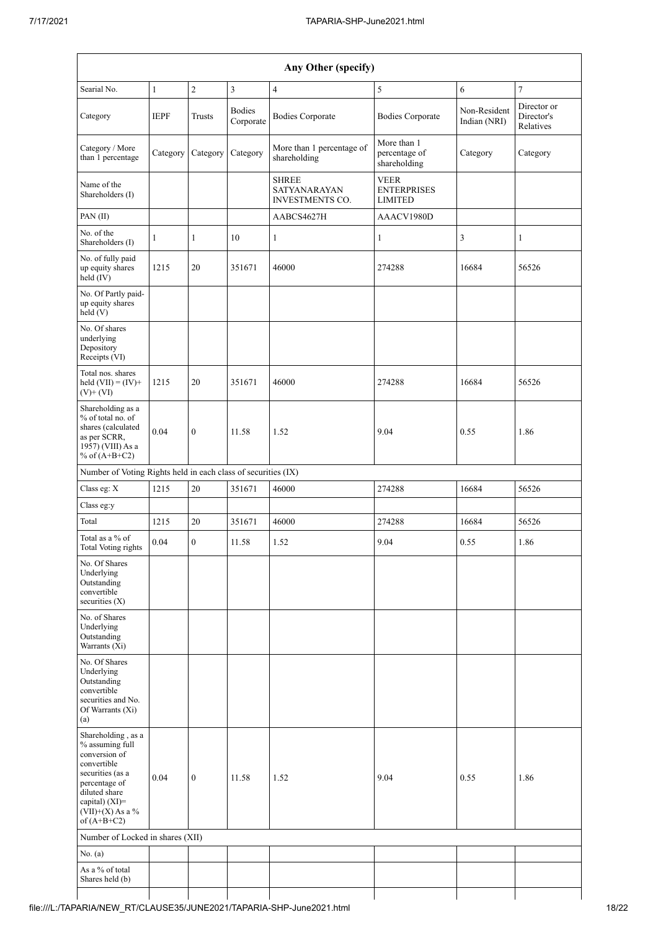| Any Other (specify)                                                                                                                                                                  |              |                  |                            |                                                               |                                                     |                              |                                        |
|--------------------------------------------------------------------------------------------------------------------------------------------------------------------------------------|--------------|------------------|----------------------------|---------------------------------------------------------------|-----------------------------------------------------|------------------------------|----------------------------------------|
| Searial No.                                                                                                                                                                          | $\mathbf{1}$ | $\overline{c}$   | 3                          | $\overline{4}$                                                | 5                                                   | $\sqrt{6}$                   | $\overline{7}$                         |
| Category                                                                                                                                                                             | <b>IEPF</b>  | Trusts           | <b>Bodies</b><br>Corporate | <b>Bodies Corporate</b>                                       | <b>Bodies Corporate</b>                             | Non-Resident<br>Indian (NRI) | Director or<br>Director's<br>Relatives |
| Category / More<br>than 1 percentage                                                                                                                                                 | Category     | Category         | Category                   | More than 1 percentage of<br>shareholding                     | More than 1<br>percentage of<br>shareholding        | Category                     | Category                               |
| Name of the<br>Shareholders (I)                                                                                                                                                      |              |                  |                            | <b>SHREE</b><br><b>SATYANARAYAN</b><br><b>INVESTMENTS CO.</b> | <b>VEER</b><br><b>ENTERPRISES</b><br><b>LIMITED</b> |                              |                                        |
| PAN(II)                                                                                                                                                                              |              |                  |                            | AABCS4627H                                                    | AAACV1980D                                          |                              |                                        |
| No. of the<br>Shareholders (I)                                                                                                                                                       | $\mathbf{1}$ | $\mathbf{1}$     | 10                         | $\mathbf{1}$                                                  | $\mathbf{1}$                                        | 3                            | 1                                      |
| No. of fully paid<br>up equity shares<br>held $(IV)$                                                                                                                                 | 1215         | 20               | 351671                     | 46000                                                         | 274288                                              | 16684                        | 56526                                  |
| No. Of Partly paid-<br>up equity shares<br>held (V)                                                                                                                                  |              |                  |                            |                                                               |                                                     |                              |                                        |
| No. Of shares<br>underlying<br>Depository<br>Receipts (VI)                                                                                                                           |              |                  |                            |                                                               |                                                     |                              |                                        |
| Total nos. shares<br>held $(VII) = (IV) +$<br>$(V)$ + $(VI)$                                                                                                                         | 1215         | 20               | 351671                     | 46000                                                         | 274288                                              | 16684                        | 56526                                  |
| Shareholding as a<br>% of total no. of<br>shares (calculated<br>as per SCRR,<br>1957) (VIII) As a<br>% of $(A+B+C2)$                                                                 | 0.04         | $\boldsymbol{0}$ | 11.58                      | 1.52                                                          | 9.04                                                | 0.55                         | 1.86                                   |
| Number of Voting Rights held in each class of securities (IX)                                                                                                                        |              |                  |                            |                                                               |                                                     |                              |                                        |
| Class eg: X                                                                                                                                                                          | 1215         | 20               | 351671                     | 46000                                                         | 274288                                              | 16684                        | 56526                                  |
| Class eg:y                                                                                                                                                                           |              |                  |                            |                                                               |                                                     |                              |                                        |
| Total                                                                                                                                                                                | 1215         | 20               | 351671                     | 46000                                                         | 274288                                              | 16684                        | 56526                                  |
| Total as a $\%$ of<br>Total Voting rights                                                                                                                                            | 0.04         | $\boldsymbol{0}$ | 11.58                      | 1.52                                                          | 9.04                                                | 0.55                         | 1.86                                   |
| No. Of Shares<br>Underlying<br>Outstanding<br>convertible<br>securities $(X)$                                                                                                        |              |                  |                            |                                                               |                                                     |                              |                                        |
| No. of Shares<br>Underlying<br>Outstanding<br>Warrants (Xi)                                                                                                                          |              |                  |                            |                                                               |                                                     |                              |                                        |
| No. Of Shares<br>Underlying<br>Outstanding<br>convertible<br>securities and No.<br>Of Warrants (Xi)<br>(a)                                                                           |              |                  |                            |                                                               |                                                     |                              |                                        |
| Shareholding, as a<br>% assuming full<br>conversion of<br>convertible<br>securities (as a<br>percentage of<br>diluted share<br>capital) (XI)=<br>$(VII)+(X)$ As a %<br>of $(A+B+C2)$ | 0.04         | $\boldsymbol{0}$ | 11.58                      | 1.52                                                          | 9.04                                                | 0.55                         | 1.86                                   |
| Number of Locked in shares (XII)                                                                                                                                                     |              |                  |                            |                                                               |                                                     |                              |                                        |
| No. (a)                                                                                                                                                                              |              |                  |                            |                                                               |                                                     |                              |                                        |
| As a % of total<br>Shares held (b)                                                                                                                                                   |              |                  |                            |                                                               |                                                     |                              |                                        |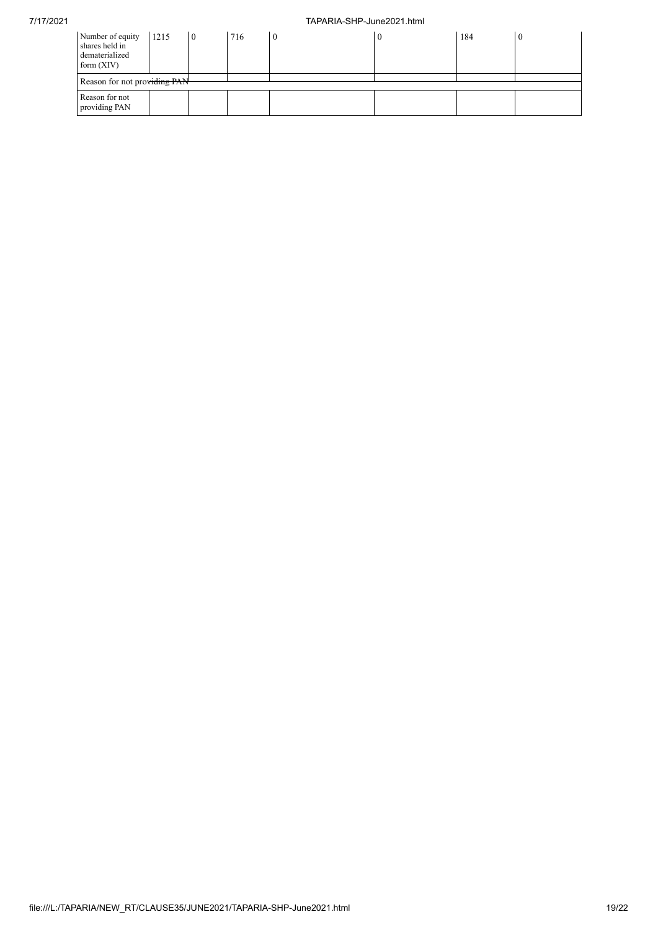## 7/17/2021 TAPARIA-SHP-June2021.html

| Number of equity<br>shares held in<br>dematerialized<br>form $(XIV)$ | 1215                         | <b>0</b> | 716 | ' 0 | -0 | 184 |  |  |
|----------------------------------------------------------------------|------------------------------|----------|-----|-----|----|-----|--|--|
|                                                                      | Reason for not providing PAN |          |     |     |    |     |  |  |
| Reason for not<br>providing PAN                                      |                              |          |     |     |    |     |  |  |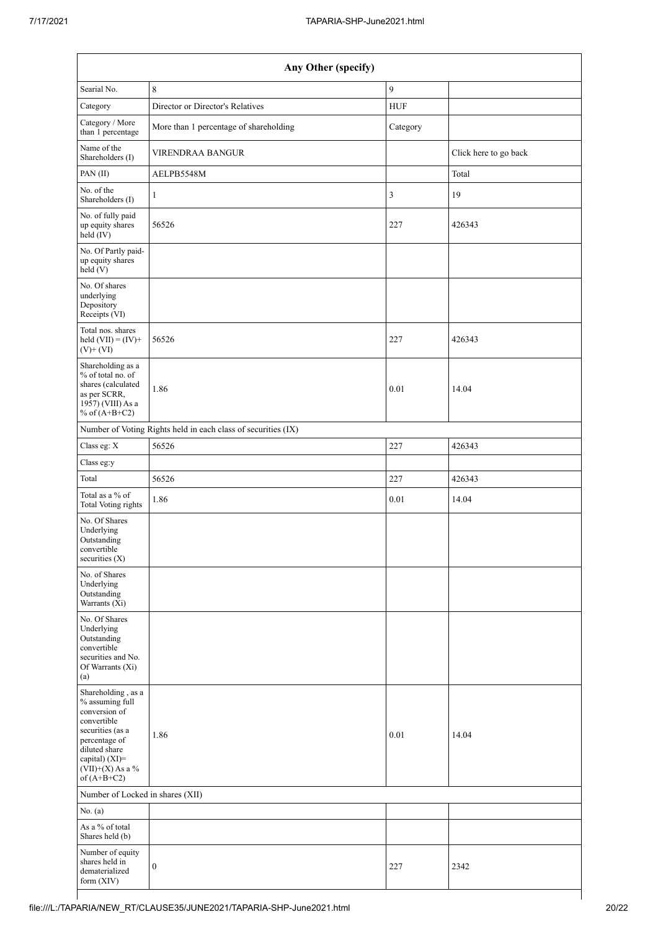| Any Other (specify)                                                                                                                                                                  |                                                               |                |                       |  |  |  |  |  |
|--------------------------------------------------------------------------------------------------------------------------------------------------------------------------------------|---------------------------------------------------------------|----------------|-----------------------|--|--|--|--|--|
| Searial No.                                                                                                                                                                          | 8                                                             | $\mathfrak{g}$ |                       |  |  |  |  |  |
| Category                                                                                                                                                                             | Director or Director's Relatives                              | <b>HUF</b>     |                       |  |  |  |  |  |
| Category / More<br>than 1 percentage                                                                                                                                                 | More than 1 percentage of shareholding                        | Category       |                       |  |  |  |  |  |
| Name of the<br>Shareholders (I)                                                                                                                                                      | <b>VIRENDRAA BANGUR</b>                                       |                | Click here to go back |  |  |  |  |  |
| PAN(II)                                                                                                                                                                              | AELPB5548M                                                    |                | Total                 |  |  |  |  |  |
| No. of the<br>Shareholders (I)                                                                                                                                                       | 1                                                             | 3              | 19                    |  |  |  |  |  |
| No. of fully paid<br>up equity shares<br>held (IV)                                                                                                                                   | 56526                                                         | 227            | 426343                |  |  |  |  |  |
| No. Of Partly paid-<br>up equity shares<br>held(V)                                                                                                                                   |                                                               |                |                       |  |  |  |  |  |
| No. Of shares<br>underlying<br>Depository<br>Receipts (VI)                                                                                                                           |                                                               |                |                       |  |  |  |  |  |
| Total nos. shares<br>held $(VII) = (IV) +$<br>$(V)$ + $(VI)$                                                                                                                         | 56526                                                         | 227            | 426343                |  |  |  |  |  |
| Shareholding as a<br>% of total no. of<br>shares (calculated<br>as per SCRR,<br>1957) (VIII) As a<br>% of $(A+B+C2)$                                                                 | 1.86                                                          | 0.01           | 14.04                 |  |  |  |  |  |
|                                                                                                                                                                                      | Number of Voting Rights held in each class of securities (IX) |                |                       |  |  |  |  |  |
| Class eg: X                                                                                                                                                                          | 56526                                                         | 227            | 426343                |  |  |  |  |  |
| Class eg:y                                                                                                                                                                           |                                                               |                |                       |  |  |  |  |  |
| Total                                                                                                                                                                                | 56526                                                         | 227            | 426343                |  |  |  |  |  |
| Total as a % of<br><b>Total Voting rights</b>                                                                                                                                        | 1.86                                                          | 0.01           | 14.04                 |  |  |  |  |  |
| No. Of Shares<br>Underlying<br>Outstanding<br>convertible<br>securities (X)                                                                                                          |                                                               |                |                       |  |  |  |  |  |
| No. of Shares<br>Underlying<br>Outstanding<br>Warrants (Xi)                                                                                                                          |                                                               |                |                       |  |  |  |  |  |
| No. Of Shares<br>Underlying<br>Outstanding<br>convertible<br>securities and No.<br>Of Warrants (Xi)<br>(a)                                                                           |                                                               |                |                       |  |  |  |  |  |
| Shareholding, as a<br>% assuming full<br>conversion of<br>convertible<br>securities (as a<br>percentage of<br>diluted share<br>capital) (XI)=<br>$(VII)+(X)$ As a %<br>of $(A+B+C2)$ | 1.86                                                          | 0.01           | 14.04                 |  |  |  |  |  |
| Number of Locked in shares (XII)                                                                                                                                                     |                                                               |                |                       |  |  |  |  |  |
| No. (a)                                                                                                                                                                              |                                                               |                |                       |  |  |  |  |  |
| As a % of total<br>Shares held (b)                                                                                                                                                   |                                                               |                |                       |  |  |  |  |  |
| Number of equity<br>shares held in<br>dematerialized<br>form (XIV)                                                                                                                   | $\boldsymbol{0}$                                              | 227            | 2342                  |  |  |  |  |  |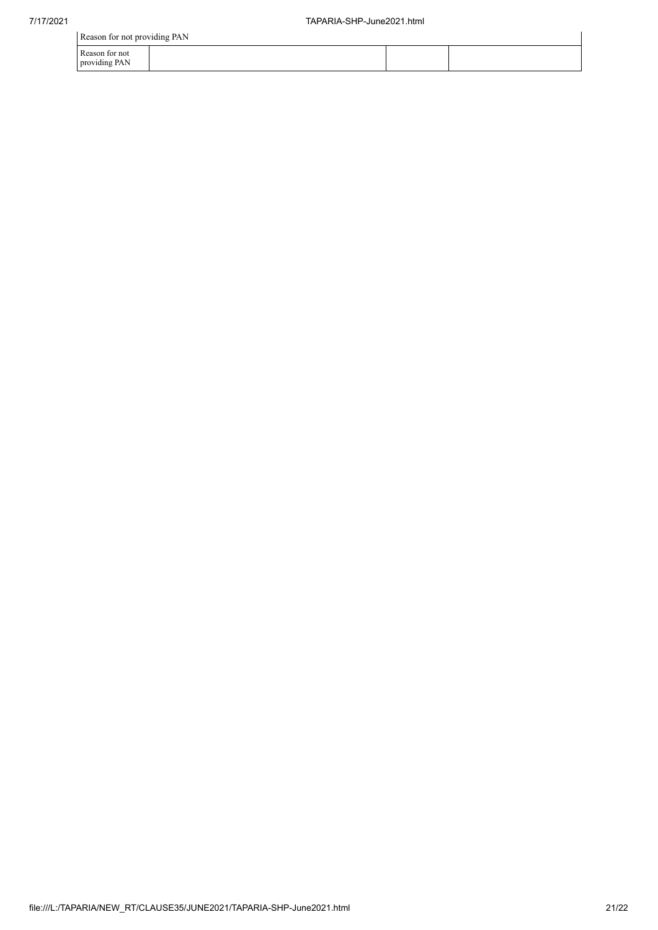| Reason for not providing PAN |                                 |  |  |  |  |
|------------------------------|---------------------------------|--|--|--|--|
|                              | Reason for not<br>providing PAN |  |  |  |  |